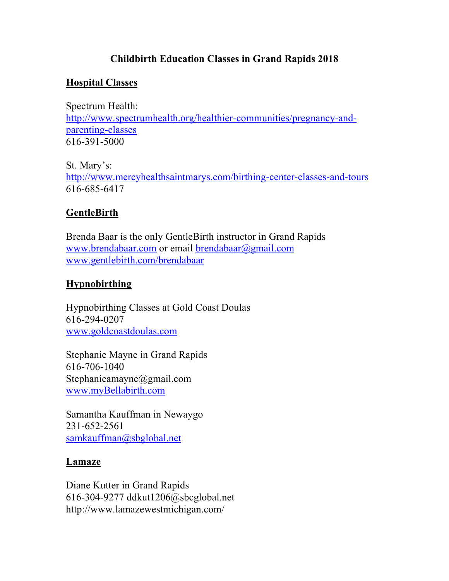# **Childbirth Education Classes in Grand Rapids 2018**

### **Hospital Classes**

Spectrum Health: http://www.spectrumhealth.org/healthier-communities/pregnancy-andparenting-classes 616-391-5000

St. Mary's: http://www.mercyhealthsaintmarys.com/birthing-center-classes-and-tours 616-685-6417

### **GentleBirth**

Brenda Baar is the only GentleBirth instructor in Grand Rapids www.brendabaar.com or email brendabaar@gmail.com www.gentlebirth.com/brendabaar

### **Hypnobirthing**

Hypnobirthing Classes at Gold Coast Doulas 616-294-0207 www.goldcoastdoulas.com

Stephanie Mayne in Grand Rapids 616-706-1040 Stephanieamayne@gmail.com www.myBellabirth.com

Samantha Kauffman in Newaygo 231-652-2561 samkauffman@sbglobal.net

#### **Lamaze**

Diane Kutter in Grand Rapids 616-304-9277 ddkut1206@sbcglobal.net http://www.lamazewestmichigan.com/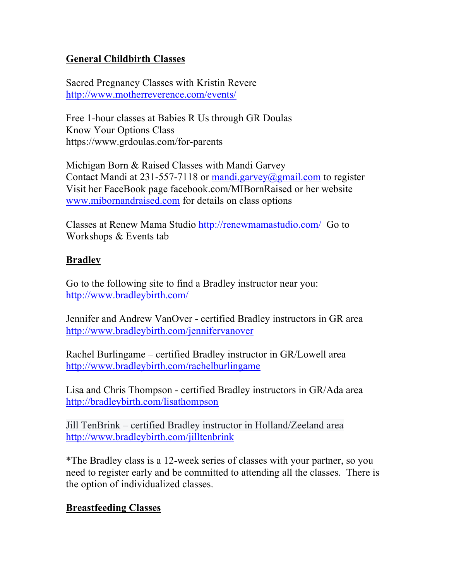## **General Childbirth Classes**

Sacred Pregnancy Classes with Kristin Revere http://www.motherreverence.com/events/

Free 1-hour classes at Babies R Us through GR Doulas Know Your Options Class https://www.grdoulas.com/for-parents

Michigan Born & Raised Classes with Mandi Garvey Contact Mandi at 231-557-7118 or mandi.garvey@gmail.com to register Visit her FaceBook page facebook.com/MIBornRaised or her website www.mibornandraised.com for details on class options

Classes at Renew Mama Studio http://renewmamastudio.com/ Go to Workshops & Events tab

### **Bradley**

Go to the following site to find a Bradley instructor near you: http://www.bradleybirth.com/

Jennifer and Andrew VanOver - certified Bradley instructors in GR area http://www.bradleybirth.com/jennifervanover

Rachel Burlingame – certified Bradley instructor in GR/Lowell area http://www.bradleybirth.com/rachelburlingame

Lisa and Chris Thompson - certified Bradley instructors in GR/Ada area http://bradleybirth.com/lisathompson

Jill TenBrink – certified Bradley instructor in Holland/Zeeland area http://www.bradleybirth.com/jilltenbrink

\*The Bradley class is a 12-week series of classes with your partner, so you need to register early and be committed to attending all the classes. There is the option of individualized classes.

## **Breastfeeding Classes**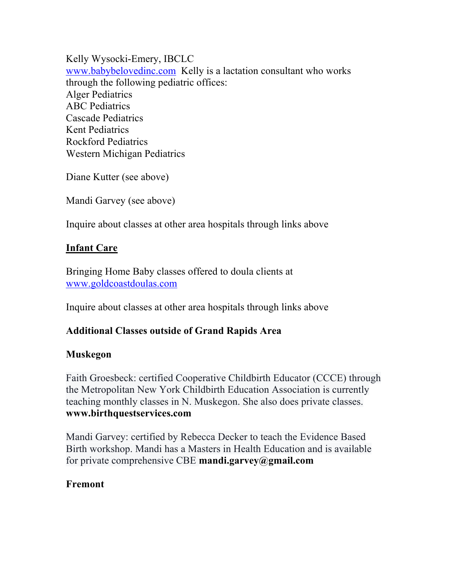Kelly Wysocki-Emery, IBCLC www.babybelovedinc.com Kelly is a lactation consultant who works through the following pediatric offices: Alger Pediatrics ABC Pediatrics Cascade Pediatrics Kent Pediatrics Rockford Pediatrics Western Michigan Pediatrics

Diane Kutter (see above)

Mandi Garvey (see above)

Inquire about classes at other area hospitals through links above

### **Infant Care**

Bringing Home Baby classes offered to doula clients at www.goldcoastdoulas.com

Inquire about classes at other area hospitals through links above

## **Additional Classes outside of Grand Rapids Area**

#### **Muskegon**

Faith Groesbeck: certified Cooperative Childbirth Educator (CCCE) through the Metropolitan New York Childbirth Education Association is currently teaching monthly classes in N. Muskegon. She also does private classes. **www.birthquestservices.com**

Mandi Garvey: certified by Rebecca Decker to teach the Evidence Based Birth workshop. Mandi has a Masters in Health Education and is available for private comprehensive CBE **mandi.garvey@gmail.com**

#### **Fremont**